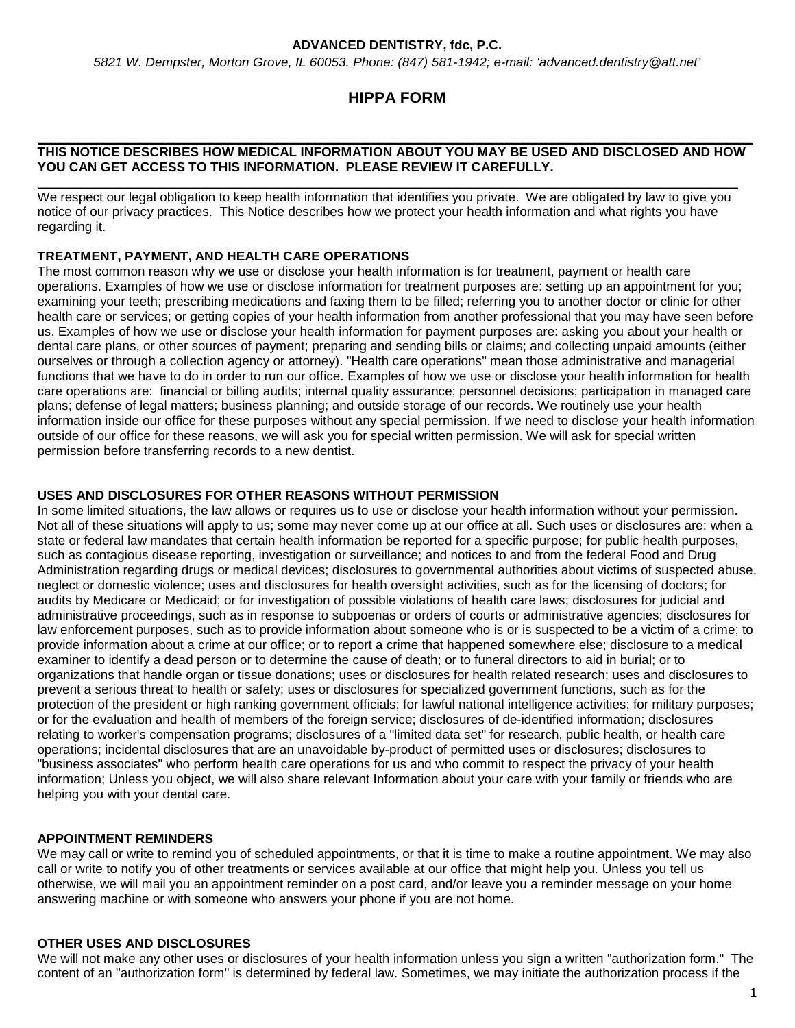### **ADVANCED DENTISTRY, fdc, P.C.**

*5821 W. Dempster, Morton Grove, IL 60053. Phone: (847) 581-1942; e-mail: 'advanced.dentistry@att.net'*

# **HIPPA FORM**

#### **\_\_\_\_\_\_\_\_\_\_\_\_\_\_\_\_\_\_\_\_\_\_\_\_\_\_\_\_\_\_\_\_\_\_\_\_\_\_\_\_\_\_\_\_\_\_\_\_\_\_\_\_\_\_\_\_\_\_\_\_\_\_\_\_\_\_\_\_\_\_\_\_\_\_\_\_\_\_\_\_\_\_\_\_\_\_\_\_\_\_ THIS NOTICE DESCRIBES HOW MEDICAL INFORMATION ABOUT YOU MAY BE USED AND DISCLOSED AND HOW YOU CAN GET ACCESS TO THIS INFORMATION. PLEASE REVIEW IT CAREFULLY.**

We respect our legal obligation to keep health information that identifies you private. We are obligated by law to give you notice of our privacy practices. This Notice describes how we protect your health information and what rights you have regarding it.

**\_\_\_\_\_\_\_\_\_\_\_\_\_\_\_\_\_\_\_\_\_\_\_\_\_\_\_\_\_\_\_\_\_\_\_\_\_\_\_\_\_\_\_\_\_\_\_\_\_\_\_\_\_\_\_\_\_\_\_\_\_\_\_\_\_\_\_\_\_\_\_\_\_\_\_\_\_\_\_\_\_\_\_\_\_\_\_\_\_\_\_\_\_\_\_\_\_**

# **TREATMENT, PAYMENT, AND HEALTH CARE OPERATIONS**

The most common reason why we use or disclose your health information is for treatment, payment or health care operations. Examples of how we use or disclose information for treatment purposes are: setting up an appointment for you; examining your teeth; prescribing medications and faxing them to be filled; referring you to another doctor or clinic for other health care or services; or getting copies of your health information from another professional that you may have seen before us. Examples of how we use or disclose your health information for payment purposes are: asking you about your health or dental care plans, or other sources of payment; preparing and sending bills or claims; and collecting unpaid amounts (either ourselves or through a collection agency or attorney). "Health care operations" mean those administrative and managerial functions that we have to do in order to run our office. Examples of how we use or disclose your health information for health care operations are: financial or billing audits; internal quality assurance; personnel decisions; participation in managed care plans; defense of legal matters; business planning; and outside storage of our records. We routinely use your health information inside our office for these purposes without any special permission. If we need to disclose your health information outside of our office for these reasons, we will ask you for special written permission. We will ask for special written permission before transferring records to a new dentist.

### **USES AND DISCLOSURES FOR OTHER REASONS WITHOUT PERMISSION**

In some limited situations, the law allows or requires us to use or disclose your health information without your permission. Not all of these situations will apply to us; some may never come up at our office at all. Such uses or disclosures are: when a state or federal law mandates that certain health information be reported for a specific purpose; for public health purposes, such as contagious disease reporting, investigation or surveillance; and notices to and from the federal Food and Drug Administration regarding drugs or medical devices; disclosures to governmental authorities about victims of suspected abuse, neglect or domestic violence; uses and disclosures for health oversight activities, such as for the licensing of doctors; for audits by Medicare or Medicaid; or for investigation of possible violations of health care laws; disclosures for judicial and administrative proceedings, such as in response to subpoenas or orders of courts or administrative agencies; disclosures for law enforcement purposes, such as to provide information about someone who is or is suspected to be a victim of a crime; to provide information about a crime at our office; or to report a crime that happened somewhere else; disclosure to a medical examiner to identify a dead person or to determine the cause of death; or to funeral directors to aid in burial; or to organizations that handle organ or tissue donations; uses or disclosures for health related research; uses and disclosures to prevent a serious threat to health or safety; uses or disclosures for specialized government functions, such as for the protection of the president or high ranking government officials; for lawful national intelligence activities; for military purposes; or for the evaluation and health of members of the foreign service; disclosures of de-identified information; disclosures relating to worker's compensation programs; disclosures of a "limited data set" for research, public health, or health care operations; incidental disclosures that are an unavoidable by-product of permitted uses or disclosures; disclosures to "business associates" who perform health care operations for us and who commit to respect the privacy of your health information; Unless you object, we will also share relevant Information about your care with your family or friends who are helping you with your dental care.

#### **APPOINTMENT REMINDERS**

We may call or write to remind you of scheduled appointments, or that it is time to make a routine appointment. We may also call or write to notify you of other treatments or services available at our office that might help you. Unless you tell us otherwise, we will mail you an appointment reminder on a post card, and/or leave you a reminder message on your home answering machine or with someone who answers your phone if you are not home.

#### **OTHER USES AND DISCLOSURES**

We will not make any other uses or disclosures of your health information unless you sign a written "authorization form." The content of an "authorization form" is determined by federal law. Sometimes, we may initiate the authorization process if the